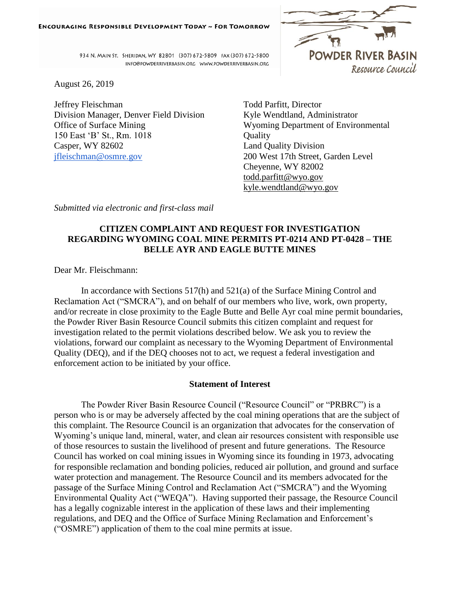

934 N. MAIN ST. SHERIDAN, WY 82801 (307) 672-5809 FAX (307) 672-5800 INFO@POWDERRIVERBASIN.ORG WWW.POWDERRIVERBASIN.ORG

August 26, 2019

Jeffrey Fleischman Division Manager, Denver Field Division Office of Surface Mining 150 East 'B' St., Rm. 1018 Casper, WY 82602 [jfleischman@osmre.gov](mailto:jfleischman@osmre.gov)

Todd Parfitt, Director Kyle Wendtland, Administrator Wyoming Department of Environmental **Ouality** Land Quality Division 200 West 17th Street, Garden Level Cheyenne, WY 82002 [todd.parfitt@wyo.gov](mailto:todd.parfitt@wyo.gov) [kyle.wendtland@wyo.gov](mailto:kyle.wendtland@wyo.gov)

*Submitted via electronic and first-class mail*

# **CITIZEN COMPLAINT AND REQUEST FOR INVESTIGATION REGARDING WYOMING COAL MINE PERMITS PT-0214 AND PT-0428 – THE BELLE AYR AND EAGLE BUTTE MINES**

Dear Mr. Fleischmann:

In accordance with Sections 517(h) and 521(a) of the Surface Mining Control and Reclamation Act ("SMCRA"), and on behalf of our members who live, work, own property, and/or recreate in close proximity to the Eagle Butte and Belle Ayr coal mine permit boundaries, the Powder River Basin Resource Council submits this citizen complaint and request for investigation related to the permit violations described below. We ask you to review the violations, forward our complaint as necessary to the Wyoming Department of Environmental Quality (DEQ), and if the DEQ chooses not to act, we request a federal investigation and enforcement action to be initiated by your office.

## **Statement of Interest**

The Powder River Basin Resource Council ("Resource Council" or "PRBRC") is a person who is or may be adversely affected by the coal mining operations that are the subject of this complaint. The Resource Council is an organization that advocates for the conservation of Wyoming's unique land, mineral, water, and clean air resources consistent with responsible use of those resources to sustain the livelihood of present and future generations. The Resource Council has worked on coal mining issues in Wyoming since its founding in 1973, advocating for responsible reclamation and bonding policies, reduced air pollution, and ground and surface water protection and management. The Resource Council and its members advocated for the passage of the Surface Mining Control and Reclamation Act ("SMCRA") and the Wyoming Environmental Quality Act ("WEQA"). Having supported their passage, the Resource Council has a legally cognizable interest in the application of these laws and their implementing regulations, and DEQ and the Office of Surface Mining Reclamation and Enforcement's ("OSMRE") application of them to the coal mine permits at issue.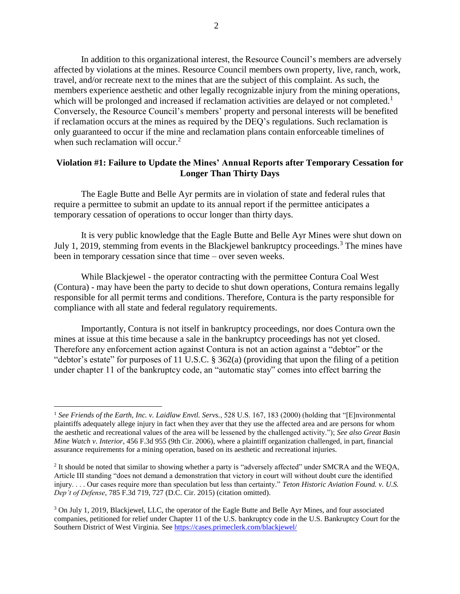In addition to this organizational interest, the Resource Council's members are adversely affected by violations at the mines. Resource Council members own property, live, ranch, work, travel, and/or recreate next to the mines that are the subject of this complaint. As such, the members experience aesthetic and other legally recognizable injury from the mining operations, which will be prolonged and increased if reclamation activities are delayed or not completed.<sup>1</sup> Conversely, the Resource Council's members' property and personal interests will be benefited if reclamation occurs at the mines as required by the DEQ's regulations. Such reclamation is only guaranteed to occur if the mine and reclamation plans contain enforceable timelines of when such reclamation will occur.<sup>2</sup>

### **Violation #1: Failure to Update the Mines' Annual Reports after Temporary Cessation for Longer Than Thirty Days**

The Eagle Butte and Belle Ayr permits are in violation of state and federal rules that require a permittee to submit an update to its annual report if the permittee anticipates a temporary cessation of operations to occur longer than thirty days.

It is very public knowledge that the Eagle Butte and Belle Ayr Mines were shut down on July 1, 2019, stemming from events in the Blackjewel bankruptcy proceedings.<sup>3</sup> The mines have been in temporary cessation since that time – over seven weeks.

While Blackjewel - the operator contracting with the permittee Contura Coal West (Contura) - may have been the party to decide to shut down operations, Contura remains legally responsible for all permit terms and conditions. Therefore, Contura is the party responsible for compliance with all state and federal regulatory requirements.

Importantly, Contura is not itself in bankruptcy proceedings, nor does Contura own the mines at issue at this time because a sale in the bankruptcy proceedings has not yet closed. Therefore any enforcement action against Contura is not an action against a "debtor" or the "debtor's estate" for purposes of 11 U.S.C. § 362(a) (providing that upon the filing of a petition under chapter 11 of the bankruptcy code, an "automatic stay" comes into effect barring the

<sup>1</sup> *See Friends of the Earth, Inc. v. Laidlaw Envtl. Servs.*, 528 U.S. 167, 183 (2000) (holding that "[E]nvironmental plaintiffs adequately allege injury in fact when they aver that they use the affected area and are persons for whom the aesthetic and recreational values of the area will be lessened by the challenged activity."); *See also Great Basin Mine Watch v. Interior*, 456 F.3d 955 (9th Cir. 2006), where a plaintiff organization challenged, in part, financial assurance requirements for a mining operation, based on its aesthetic and recreational injuries.

<sup>&</sup>lt;sup>2</sup> It should be noted that similar to showing whether a party is "adversely affected" under SMCRA and the WEQA, Article III standing "does not demand a demonstration that victory in court will without doubt cure the identified injury. . . . Our cases require more than speculation but less than certainty." *Teton Historic Aviation Found. v. U.S. Dep't of Defense*, 785 F.3d 719, 727 (D.C. Cir. 2015) (citation omitted).

<sup>&</sup>lt;sup>3</sup> On July 1, 2019, Blackjewel, LLC, the operator of the Eagle Butte and Belle Ayr Mines, and four associated companies, petitioned for relief under Chapter 11 of the U.S. bankruptcy code in the U.S. Bankruptcy Court for the Southern District of West Virginia. See<https://cases.primeclerk.com/blackjewel/>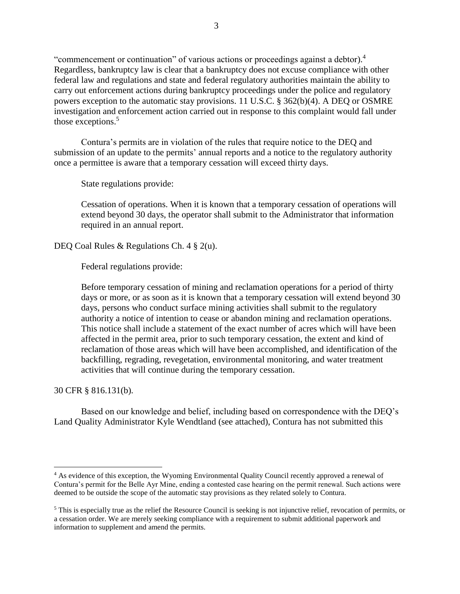"commencement or continuation" of various actions or proceedings against a debtor).<sup>4</sup> Regardless, bankruptcy law is clear that a bankruptcy does not excuse compliance with other federal law and regulations and state and federal regulatory authorities maintain the ability to carry out enforcement actions during bankruptcy proceedings under the police and regulatory powers exception to the automatic stay provisions. 11 U.S.C. § 362(b)(4). A DEQ or OSMRE investigation and enforcement action carried out in response to this complaint would fall under those exceptions.<sup>5</sup>

Contura's permits are in violation of the rules that require notice to the DEQ and submission of an update to the permits' annual reports and a notice to the regulatory authority once a permittee is aware that a temporary cessation will exceed thirty days.

State regulations provide:

Cessation of operations. When it is known that a temporary cessation of operations will extend beyond 30 days, the operator shall submit to the Administrator that information required in an annual report.

DEQ Coal Rules & Regulations Ch. 4 § 2(u).

Federal regulations provide:

Before temporary cessation of mining and reclamation operations for a period of thirty days or more, or as soon as it is known that a temporary cessation will extend beyond 30 days, persons who conduct surface mining activities shall submit to the regulatory authority a notice of intention to cease or abandon mining and reclamation operations. This notice shall include a statement of the exact number of acres which will have been affected in the permit area, prior to such temporary cessation, the extent and kind of reclamation of those areas which will have been accomplished, and identification of the backfilling, regrading, revegetation, environmental monitoring, and water treatment activities that will continue during the temporary cessation.

30 CFR § 816.131(b).

Based on our knowledge and belief, including based on correspondence with the DEQ's Land Quality Administrator Kyle Wendtland (see attached), Contura has not submitted this

<sup>&</sup>lt;sup>4</sup> As evidence of this exception, the Wyoming Environmental Quality Council recently approved a renewal of Contura's permit for the Belle Ayr Mine, ending a contested case hearing on the permit renewal. Such actions were deemed to be outside the scope of the automatic stay provisions as they related solely to Contura.

<sup>&</sup>lt;sup>5</sup> This is especially true as the relief the Resource Council is seeking is not injunctive relief, revocation of permits, or a cessation order. We are merely seeking compliance with a requirement to submit additional paperwork and information to supplement and amend the permits.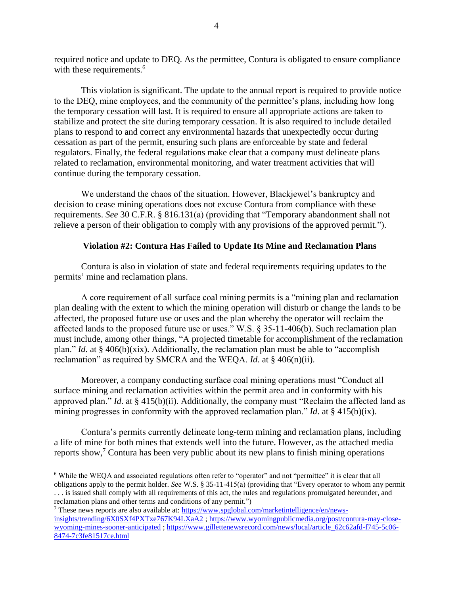required notice and update to DEQ. As the permittee, Contura is obligated to ensure compliance with these requirements.<sup>6</sup>

This violation is significant. The update to the annual report is required to provide notice to the DEQ, mine employees, and the community of the permittee's plans, including how long the temporary cessation will last. It is required to ensure all appropriate actions are taken to stabilize and protect the site during temporary cessation. It is also required to include detailed plans to respond to and correct any environmental hazards that unexpectedly occur during cessation as part of the permit, ensuring such plans are enforceable by state and federal regulators. Finally, the federal regulations make clear that a company must delineate plans related to reclamation, environmental monitoring, and water treatment activities that will continue during the temporary cessation.

We understand the chaos of the situation. However, Blackjewel's bankruptcy and decision to cease mining operations does not excuse Contura from compliance with these requirements. *See* 30 C.F.R. § 816.131(a) (providing that "Temporary abandonment shall not relieve a person of their obligation to comply with any provisions of the approved permit.").

## **Violation #2: Contura Has Failed to Update Its Mine and Reclamation Plans**

Contura is also in violation of state and federal requirements requiring updates to the permits' mine and reclamation plans.

A core requirement of all surface coal mining permits is a "mining plan and reclamation plan dealing with the extent to which the mining operation will disturb or change the lands to be affected, the proposed future use or uses and the plan whereby the operator will reclaim the affected lands to the proposed future use or uses." W.S. § 35-11-406(b). Such reclamation plan must include, among other things, "A projected timetable for accomplishment of the reclamation plan." *Id*. at § 406(b)(xix). Additionally, the reclamation plan must be able to "accomplish reclamation" as required by SMCRA and the WEQA. *Id*. at § 406(n)(ii).

Moreover, a company conducting surface coal mining operations must "Conduct all surface mining and reclamation activities within the permit area and in conformity with his approved plan." *Id*. at § 415(b)(ii). Additionally, the company must "Reclaim the affected land as mining progresses in conformity with the approved reclamation plan." *Id*. at § 415(b)(ix).

Contura's permits currently delineate long-term mining and reclamation plans, including a life of mine for both mines that extends well into the future. However, as the attached media reports show, $\frac{7}{7}$  Contura has been very public about its new plans to finish mining operations

<sup>6</sup> While the WEQA and associated regulations often refer to "operator" and not "permittee" it is clear that all obligations apply to the permit holder. *See* W.S. § 35-11-415(a) (providing that "Every operator to whom any permit . . . is issued shall comply with all requirements of this act, the rules and regulations promulgated hereunder, and reclamation plans and other terms and conditions of any permit.")

<sup>7</sup> These news reports are also available at: [https://www.spglobal.com/marketintelligence/en/news](https://www.spglobal.com/marketintelligence/en/news-insights/trending/6X0SXf4PXTxe767K94LXaA2)[insights/trending/6X0SXf4PXTxe767K94LXaA2](https://www.spglobal.com/marketintelligence/en/news-insights/trending/6X0SXf4PXTxe767K94LXaA2) [; https://www.wyomingpublicmedia.org/post/contura-may-close](https://www.wyomingpublicmedia.org/post/contura-may-close-wyoming-mines-sooner-anticipated)[wyoming-mines-sooner-anticipated](https://www.wyomingpublicmedia.org/post/contura-may-close-wyoming-mines-sooner-anticipated); [https://www.gillettenewsrecord.com/news/local/article\\_62c62afd-f745-5c06-](https://www.gillettenewsrecord.com/news/local/article_62c62afd-f745-5c06-8474-7c3fe81517ce.html) [8474-7c3fe81517ce.html](https://www.gillettenewsrecord.com/news/local/article_62c62afd-f745-5c06-8474-7c3fe81517ce.html)